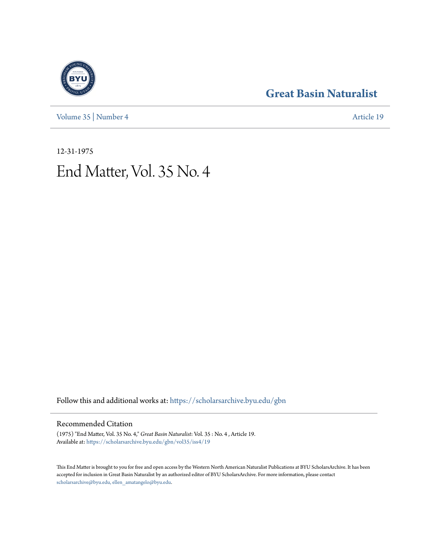[Volume 35](https://scholarsarchive.byu.edu/gbn/vol35?utm_source=scholarsarchive.byu.edu%2Fgbn%2Fvol35%2Fiss4%2F19&utm_medium=PDF&utm_campaign=PDFCoverPages) | [Number 4](https://scholarsarchive.byu.edu/gbn/vol35/iss4?utm_source=scholarsarchive.byu.edu%2Fgbn%2Fvol35%2Fiss4%2F19&utm_medium=PDF&utm_campaign=PDFCoverPages) [Article 19](https://scholarsarchive.byu.edu/gbn/vol35/iss4/19?utm_source=scholarsarchive.byu.edu%2Fgbn%2Fvol35%2Fiss4%2F19&utm_medium=PDF&utm_campaign=PDFCoverPages)

# **[Great Basin Naturalist](https://scholarsarchive.byu.edu/gbn?utm_source=scholarsarchive.byu.edu%2Fgbn%2Fvol35%2Fiss4%2F19&utm_medium=PDF&utm_campaign=PDFCoverPages)**

12-31-1975 End Matter, Vol. 35 No. 4

Follow this and additional works at: [https://scholarsarchive.byu.edu/gbn](https://scholarsarchive.byu.edu/gbn?utm_source=scholarsarchive.byu.edu%2Fgbn%2Fvol35%2Fiss4%2F19&utm_medium=PDF&utm_campaign=PDFCoverPages)

## Recommended Citation

(1975) "End Matter, Vol. 35 No. 4," *Great Basin Naturalist*: Vol. 35 : No. 4 , Article 19. Available at: [https://scholarsarchive.byu.edu/gbn/vol35/iss4/19](https://scholarsarchive.byu.edu/gbn/vol35/iss4/19?utm_source=scholarsarchive.byu.edu%2Fgbn%2Fvol35%2Fiss4%2F19&utm_medium=PDF&utm_campaign=PDFCoverPages)

This End Matter is brought to you for free and open access by the Western North American Naturalist Publications at BYU ScholarsArchive. It has been accepted for inclusion in Great Basin Naturalist by an authorized editor of BYU ScholarsArchive. For more information, please contact [scholarsarchive@byu.edu, ellen\\_amatangelo@byu.edu.](mailto:scholarsarchive@byu.edu,%20ellen_amatangelo@byu.edu)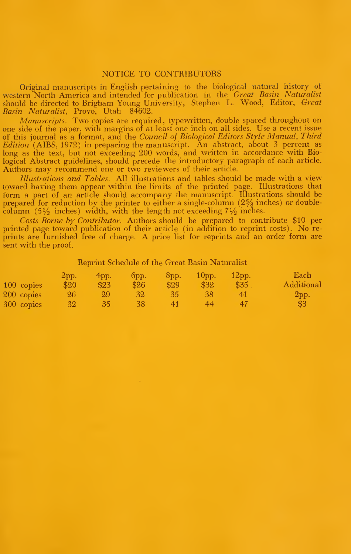#### NOTICE TO CONTRIBUTORS

Original manuscripts in English pertaining to the biological natural history of western North America and intended for publication in the *Great Basin Naturalist*<br>should be directed to Brigham Young University, Stephen L. Wood, Editor, *Great*<br>*Basin Naturalist*, Provo, Utah 84602.

Manuscripts. Two copies are required, typewritten, double spaced throughout on one side of the paper, with margins of at least one inch on all sides. Use <sup>a</sup> recent issue of this journal as a format, and the Council of Biological Editors Style Manual, Third  $Editor'$  (AIBS, 1972) in preparing the manuscript. An abstract, about 3 percent as long as the text, but not exceeding 200 words, and written in accordance with Biological Abstract guidelines, should precede the introductory paragraph of each article. Authors may recommend one or two reviewers of their article.

Illustrations and Tables. All illustrations and tables should be made with a view toward having them appear within the limits of the printed page. Illustrations that form a part of an article should accompany the manuscript. Illustrations should be<br>prepared for reduction by the printer to either a single-column (2% inches) or doublecolumn (5 $\frac{1}{2}$  inches) width, with the length not exceeding  $7\frac{1}{2}$  inches.

Costs Borne by Contributor. Authors should be prepared to contribute \$10 per printed page toward publication of their article (in addition to reprint costs). No reprints are furnished free of charge. A price list for reprints and an order form are sent with the proof.

#### Reprint Schedule of the Great Basin Naturalist

|            | 2pp.         | $4$ pp. | 6pp.            | $8$ pp. | $10DD$ . | $12$ pp. | Each       |
|------------|--------------|---------|-----------------|---------|----------|----------|------------|
| 100 copies | \$20         | \$23    | \$26            | \$29    | \$32     | \$35     | Additional |
| 200 copies | $26^{\circ}$ | 99      | 32 <sup>2</sup> | 35/     | 38       |          | 2pp.       |
| 300 copies | $32-1$       | 35.     | 38              | 41      | 44       |          | \$3        |